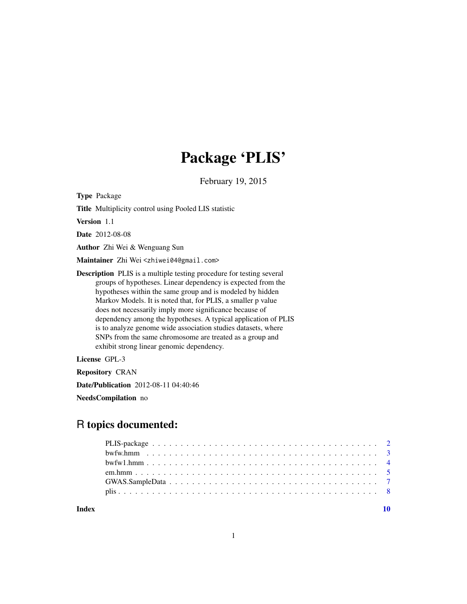# Package 'PLIS'

February 19, 2015

Type Package

Title Multiplicity control using Pooled LIS statistic

Version 1.1

Date 2012-08-08

Author Zhi Wei & Wenguang Sun

Maintainer Zhi Wei <zhiwei04@gmail.com>

Description PLIS is a multiple testing procedure for testing several groups of hypotheses. Linear dependency is expected from the hypotheses within the same group and is modeled by hidden Markov Models. It is noted that, for PLIS, a smaller p value does not necessarily imply more significance because of dependency among the hypotheses. A typical application of PLIS is to analyze genome wide association studies datasets, where SNPs from the same chromosome are treated as a group and exhibit strong linear genomic dependency.

License GPL-3

Repository CRAN

Date/Publication 2012-08-11 04:40:46

NeedsCompilation no

# R topics documented:

 $\blacksquare$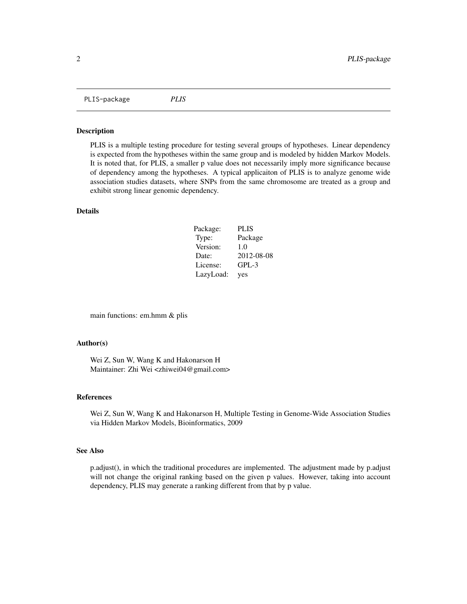<span id="page-1-0"></span>PLIS-package *PLIS*

#### Description

PLIS is a multiple testing procedure for testing several groups of hypotheses. Linear dependency is expected from the hypotheses within the same group and is modeled by hidden Markov Models. It is noted that, for PLIS, a smaller p value does not necessarily imply more significance because of dependency among the hypotheses. A typical applicaiton of PLIS is to analyze genome wide association studies datasets, where SNPs from the same chromosome are treated as a group and exhibit strong linear genomic dependency.

#### Details

| Package:  | <b>PLIS</b> |
|-----------|-------------|
| Type:     | Package     |
| Version:  | 1.0         |
| Date:     | 2012-08-08  |
| License:  | $GPL-3$     |
| LazyLoad: | yes         |

main functions: em.hmm & plis

# Author(s)

Wei Z, Sun W, Wang K and Hakonarson H Maintainer: Zhi Wei <zhiwei04@gmail.com>

#### References

Wei Z, Sun W, Wang K and Hakonarson H, Multiple Testing in Genome-Wide Association Studies via Hidden Markov Models, Bioinformatics, 2009

#### See Also

p.adjust(), in which the traditional procedures are implemented. The adjustment made by p.adjust will not change the original ranking based on the given p values. However, taking into account dependency, PLIS may generate a ranking different from that by p value.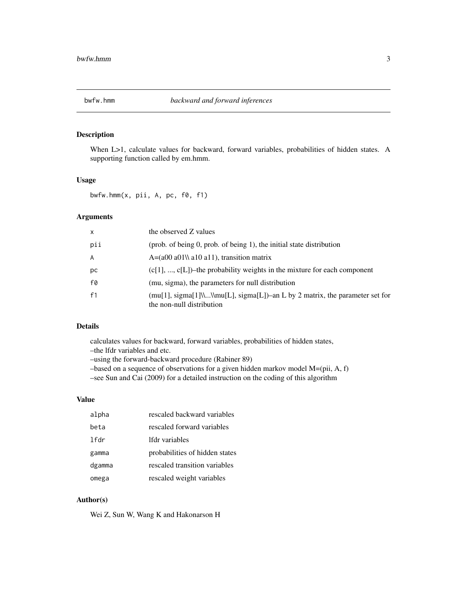# <span id="page-2-0"></span>Description

When L>1, calculate values for backward, forward variables, probabilities of hidden states. A supporting function called by em.hmm.

# Usage

 $b$ wfw.hmm $(x, pii, A, pc, f0, f1)$ 

#### Arguments

| $\mathsf{x}$   | the observed Z values                                                                                       |
|----------------|-------------------------------------------------------------------------------------------------------------|
| pii            | (prob. of being 0, prob. of being 1), the initial state distribution                                        |
| $\overline{A}$ | $A=(a00 a01)$ allo allo allo transition matrix                                                              |
| рc             | $(c[1], , c[L])$ -the probability weights in the mixture for each component                                 |
| f0             | (mu, sigma), the parameters for null distribution                                                           |
| f1             | $(mu[1], sigma[1]\$ \lmu[L], sigma[L])–an L by 2 matrix, the parameter set for<br>the non-null distribution |

# Details

calculates values for backward, forward variables, probabilities of hidden states,

–the lfdr variables and etc.

–using the forward-backward procedure (Rabiner 89)

–based on a sequence of observations for a given hidden markov model M=(pii, A, f)

–see Sun and Cai (2009) for a detailed instruction on the coding of this algorithm

#### Value

| alpha  | rescaled backward variables    |
|--------|--------------------------------|
| heta   | rescaled forward variables     |
| lfdr   | lfdr variables                 |
| gamma  | probabilities of hidden states |
| dgamma | rescaled transition variables  |
| omega  | rescaled weight variables      |

# Author(s)

Wei Z, Sun W, Wang K and Hakonarson H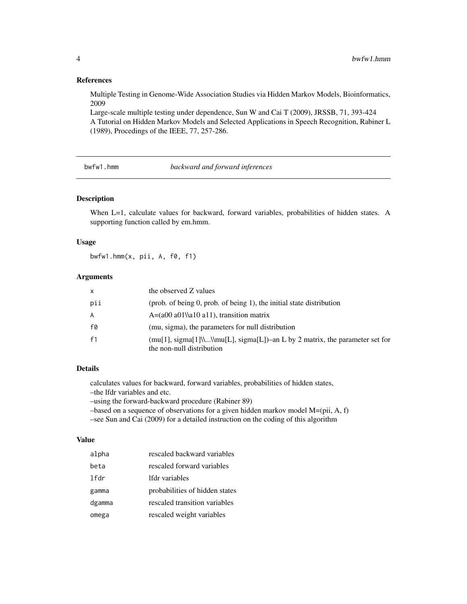### <span id="page-3-0"></span>References

Multiple Testing in Genome-Wide Association Studies via Hidden Markov Models, Bioinformatics, 2009

Large-scale multiple testing under dependence, Sun W and Cai T (2009), JRSSB, 71, 393-424 A Tutorial on Hidden Markov Models and Selected Applications in Speech Recognition, Rabiner L (1989), Procedings of the IEEE, 77, 257-286.

bwfw1.hmm *backward and forward inferences*

# Description

When L=1, calculate values for backward, forward variables, probabilities of hidden states. A supporting function called by em.hmm.

### Usage

bwfw1.hmm(x, pii, A, f0, f1)

# Arguments

| x   | the observed Z values                                                                                       |
|-----|-------------------------------------------------------------------------------------------------------------|
| pii | (prob. of being 0, prob. of being 1), the initial state distribution                                        |
| A   | $A=(a00 a01\$ a10 a11), transition matrix                                                                   |
| f0  | (mu, sigma), the parameters for null distribution                                                           |
| f1  | $(mu[1], sigma[1]\$ \\mu[L], sigma[L])–an L by 2 matrix, the parameter set for<br>the non-null distribution |

# Details

calculates values for backward, forward variables, probabilities of hidden states,

–the lfdr variables and etc.

–using the forward-backward procedure (Rabiner 89)

–based on a sequence of observations for a given hidden markov model M=(pii, A, f)

–see Sun and Cai (2009) for a detailed instruction on the coding of this algorithm

# Value

| alpha  | rescaled backward variables    |
|--------|--------------------------------|
| beta   | rescaled forward variables     |
| lfdr   | lfdr variables                 |
| gamma  | probabilities of hidden states |
| dgamma | rescaled transition variables  |
| omega  | rescaled weight variables      |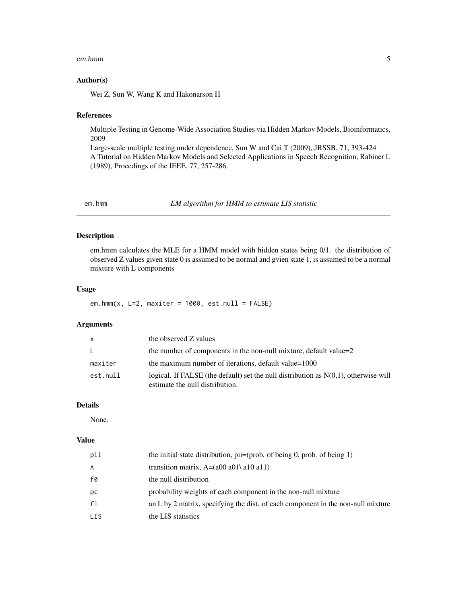#### <span id="page-4-0"></span>em.hmm 5

## Author(s)

Wei Z, Sun W, Wang K and Hakonarson H

#### References

Multiple Testing in Genome-Wide Association Studies via Hidden Markov Models, Bioinformatics, 2009

Large-scale multiple testing under dependence, Sun W and Cai T (2009), JRSSB, 71, 393-424 A Tutorial on Hidden Markov Models and Selected Applications in Speech Recognition, Rabiner L (1989), Procedings of the IEEE, 77, 257-286.

em.hmm *EM algorithm for HMM to estimate LIS statistic*

# Description

em.hmm calculates the MLE for a HMM model with hidden states being 0/1. the distribution of observed Z values given state 0 is assumed to be normal and gvien state 1, is assumed to be a normal mixture with L components

# Usage

em.hmm(x,  $L=2$ , maxiter = 1000, est.null = FALSE)

#### Arguments

| $\mathsf{x}$ | the observed Z values                                                                                                     |
|--------------|---------------------------------------------------------------------------------------------------------------------------|
| $\mathsf{L}$ | the number of components in the non-null mixture, default value=2                                                         |
| maxiter      | the maximum number of iterations, default value=1000                                                                      |
| est.null     | logical. If FALSE (the default) set the null distribution as $N(0,1)$ , otherwise will<br>estimate the null distribution. |

# Details

None.

# Value

| pii  | the initial state distribution, $pi=(prob. of being 0, prob. of being 1)$        |
|------|----------------------------------------------------------------------------------|
| A    | transition matrix, $A=(a00 a01 a10 a11)$                                         |
| f0   | the null distribution                                                            |
| рc   | probability weights of each component in the non-null mixture                    |
| f1   | an L by 2 matrix, specifying the dist. of each component in the non-null mixture |
| LIS. | the LIS statistics                                                               |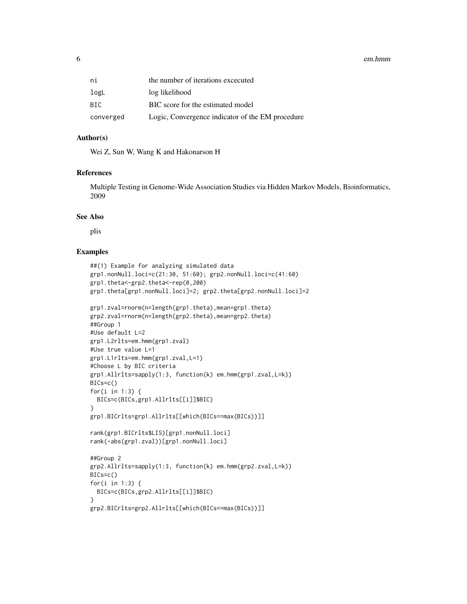#### 6 em.hmm

| ni        | the number of iterations excecuted               |
|-----------|--------------------------------------------------|
| logL      | log likelihood                                   |
| BIC       | BIC score for the estimated model                |
| converged | Logic, Convergence indicator of the EM procedure |

# Author(s)

Wei Z, Sun W, Wang K and Hakonarson H

#### References

Multiple Testing in Genome-Wide Association Studies via Hidden Markov Models, Bioinformatics, 2009

#### See Also

plis

# Examples

```
##(1) Example for analyzing simulated data
grp1.nonNull.loci=c(21:30, 51:60); grp2.nonNull.loci=c(41:60)
grp1.theta<-grp2.theta<-rep(0,200)
grp1.theta[grp1.nonNull.loci]=2; grp2.theta[grp2.nonNull.loci]=2
grp1.zval=rnorm(n=length(grp1.theta),mean=grp1.theta)
grp2.zval=rnorm(n=length(grp2.theta),mean=grp2.theta)
##Group 1
#Use default L=2
grp1.L2rlts=em.hmm(grp1.zval)
#Use true value L=1
grp1.L1rlts=em.hmm(grp1.zval,L=1)
#Choose L by BIC criteria
grp1.Allrlts=sapply(1:3, function(k) em.hmm(grp1.zval,L=k))
BICs=c()
for(i in 1:3) {
  BICs=c(BICs,grp1.Allrlts[[i]]$BIC)
}
grp1.BICrlts=grp1.Allrlts[[which(BICs==max(BICs))]]
rank(grp1.BICrlts$LIS)[grp1.nonNull.loci]
rank(-abs(grp1.zval))[grp1.nonNull.loci]
##Group 2
grp2.Allrlts=sapply(1:3, function(k) em.hmm(grp2.zval,L=k))
BICs=c()
for(i in 1:3) {
 BICs=c(BICs,grp2.Allrlts[[i]]$BIC)
}
grp2.BICrlts=grp2.Allrlts[[which(BICs==max(BICs))]]
```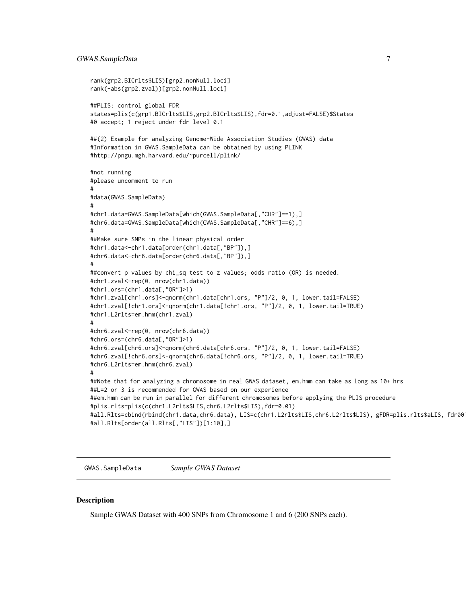# <span id="page-6-0"></span>GWAS.SampleData 7

```
rank(grp2.BICrlts$LIS)[grp2.nonNull.loci]
rank(-abs(grp2.zval))[grp2.nonNull.loci]
##PLIS: control global FDR
states=plis(c(grp1.BICrlts$LIS,grp2.BICrlts$LIS),fdr=0.1,adjust=FALSE)$States
#0 accept; 1 reject under fdr level 0.1
##(2) Example for analyzing Genome-Wide Association Studies (GWAS) data
#Information in GWAS.SampleData can be obtained by using PLINK
#http://pngu.mgh.harvard.edu/~purcell/plink/
#not running
#please uncomment to run
#
#data(GWAS.SampleData)
#
#chr1.data=GWAS.SampleData[which(GWAS.SampleData[,"CHR"]==1),]
#chr6.data=GWAS.SampleData[which(GWAS.SampleData[,"CHR"]==6),]
#
##Make sure SNPs in the linear physical order
#chr1.data<-chr1.data[order(chr1.data[,"BP"]),]
#chr6.data<-chr6.data[order(chr6.data[,"BP"]),]
#
##convert p values by chi_sq test to z values; odds ratio (OR) is needed.
#chr1.zval<-rep(0, nrow(chr1.data))
#chr1.ors=(chr1.data[,"OR"]>1)
#chr1.zval[chr1.ors]<-qnorm(chr1.data[chr1.ors, "P"]/2, 0, 1, lower.tail=FALSE)
#chr1.zval[!chr1.ors]<-qnorm(chr1.data[!chr1.ors, "P"]/2, 0, 1, lower.tail=TRUE)
#chr1.L2rlts=em.hmm(chr1.zval)
#
#chr6.zval<-rep(0, nrow(chr6.data))
#chr6.ors=(chr6.data[,"OR"]>1)
#chr6.zval[chr6.ors]<-qnorm(chr6.data[chr6.ors, "P"]/2, 0, 1, lower.tail=FALSE)
#chr6.zval[!chr6.ors]<-qnorm(chr6.data[!chr6.ors, "P"]/2, 0, 1, lower.tail=TRUE)
#chr6.L2rlts=em.hmm(chr6.zval)
#
##Note that for analyzing a chromosome in real GWAS dataset, em.hmm can take as long as 10+ hrs
##L=2 or 3 is recommended for GWAS based on our experience
##em.hmm can be run in parallel for different chromosomes before applying the PLIS procedure
#plis.rlts=plis(c(chr1.L2rlts$LIS,chr6.L2rlts$LIS),fdr=0.01)
#all.Rlts=cbind(rbind(chr1.data,chr6.data), LIS=c(chr1.L2rlts$LIS,chr6.L2rlts$LIS), gFDR=plis.rlts$aLIS, fdr001state=plis.rlts$States)
#all.Rlts[order(all.Rlts[,"LIS"])[1:10],]
```
GWAS.SampleData *Sample GWAS Dataset*

#### Description

Sample GWAS Dataset with 400 SNPs from Chromosome 1 and 6 (200 SNPs each).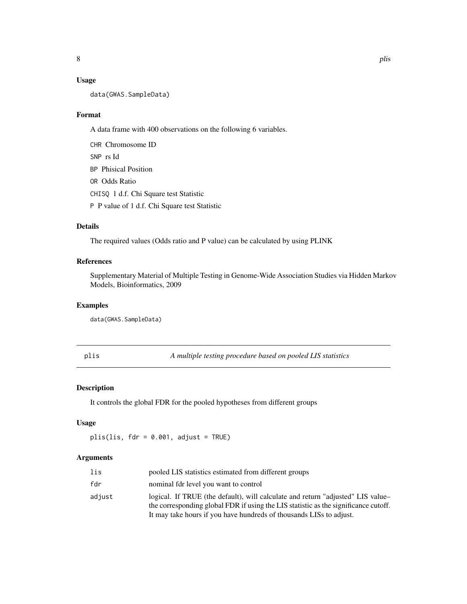# <span id="page-7-0"></span>Usage

data(GWAS.SampleData)

#### Format

A data frame with 400 observations on the following 6 variables.

CHR Chromosome ID SNP rs Id BP Phisical Position OR Odds Ratio CHISQ 1 d.f. Chi Square test Statistic P P value of 1 d.f. Chi Square test Statistic

# Details

The required values (Odds ratio and P value) can be calculated by using PLINK

# References

Supplementary Material of Multiple Testing in Genome-Wide Association Studies via Hidden Markov Models, Bioinformatics, 2009

#### Examples

data(GWAS.SampleData)

plis *A multiple testing procedure based on pooled LIS statistics*

# Description

It controls the global FDR for the pooled hypotheses from different groups

### Usage

 $plis(lis, fdr = 0.001, adjust = TRUE)$ 

# Arguments

| lis    | pooled LIS statistics estimated from different groups                                                                                                                                                                                         |
|--------|-----------------------------------------------------------------------------------------------------------------------------------------------------------------------------------------------------------------------------------------------|
| fdr    | nominal fdr level you want to control                                                                                                                                                                                                         |
| adjust | logical. If TRUE (the default), will calculate and return "adjusted" LIS value-<br>the corresponding global FDR if using the LIS statistic as the significance cutoff.<br>It may take hours if you have hundreds of thousands LISs to adjust. |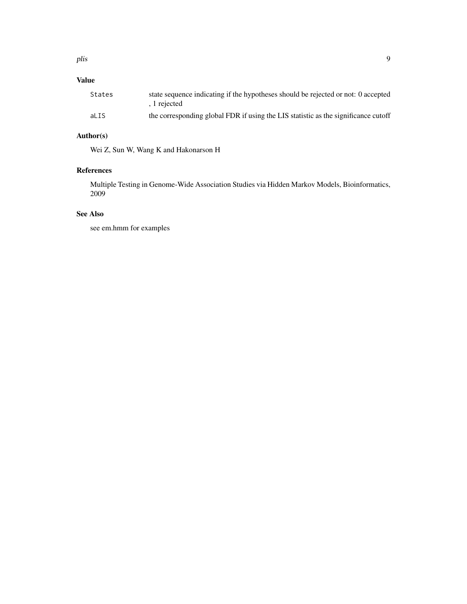#### plis the contract of the contract of the contract of the contract of the contract of the contract of the contract of the contract of the contract of the contract of the contract of the contract of the contract of the contr

# Value

| States | state sequence indicating if the hypotheses should be rejected or not: 0 accepted<br>. 1 rejected |
|--------|---------------------------------------------------------------------------------------------------|
| aLIS   | the corresponding global FDR if using the LIS statistic as the significance cutoff                |

# Author(s)

Wei Z, Sun W, Wang K and Hakonarson H

# References

Multiple Testing in Genome-Wide Association Studies via Hidden Markov Models, Bioinformatics, 2009

# See Also

see em.hmm for examples